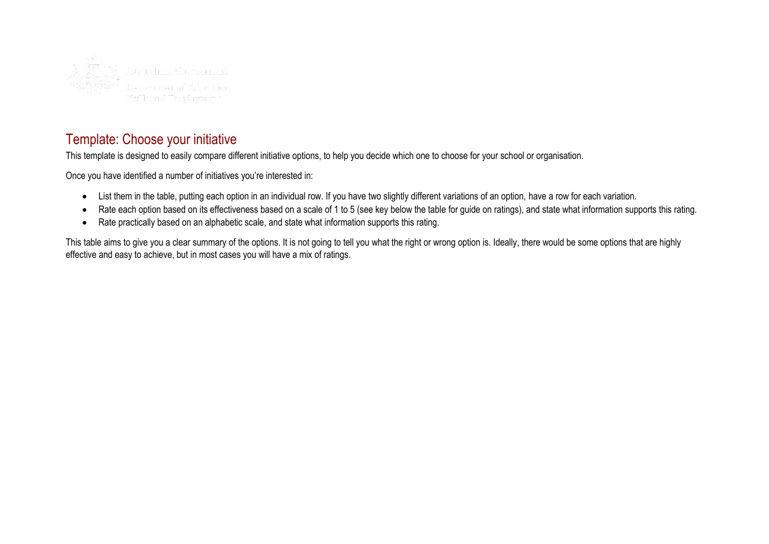

# Template: Choose your initiative

This template is designed to easily compare different initiative options, to help you decide which one to choose for your school or organisation.

Once you have identified a number of initiatives you're interested in:

- List them in the table, putting each option in an individual row. If you have two slightly different variations of an option, have a row for each variation.
- Rate each option based on its effectiveness based on a scale of 1 to 5 (see key below the table for guide on ratings), and state what information supports this rating.
- Rate practically based on an alphabetic scale, and state what information supports this rating.

This table aims to give you a clear summary of the options. It is not going to tell you what the right or wrong option is. Ideally, there would be some options that are highly effective and easy to achieve, but in most cases you will have a mix of ratings.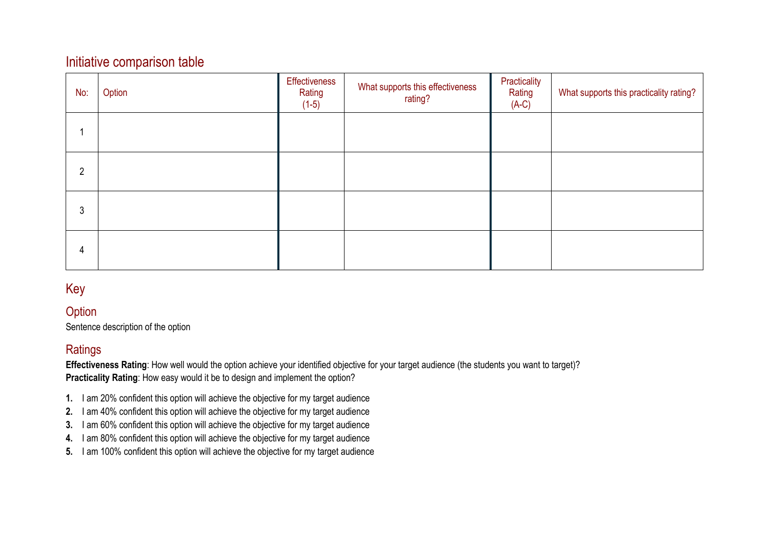## Initiative comparison table

| No:            | Option | Effectiveness<br>Rating<br>$(1-5)$ | What supports this effectiveness<br>rating? | Practicality<br>Rating<br>$(A-C)$ | What supports this practicality rating? |
|----------------|--------|------------------------------------|---------------------------------------------|-----------------------------------|-----------------------------------------|
|                |        |                                    |                                             |                                   |                                         |
| $\overline{2}$ |        |                                    |                                             |                                   |                                         |
| 3              |        |                                    |                                             |                                   |                                         |
| 4              |        |                                    |                                             |                                   |                                         |

## Key

#### **Option**

Sentence description of the option

#### **Ratings**

**Effectiveness Rating**: How well would the option achieve your identified objective for your target audience (the students you want to target)? **Practicality Rating**: How easy would it be to design and implement the option?

- **1.** I am 20% confident this option will achieve the objective for my target audience
- **2.** I am 40% confident this option will achieve the objective for my target audience
- **3.** I am 60% confident this option will achieve the objective for my target audience
- **4.** I am 80% confident this option will achieve the objective for my target audience
- **5.** I am 100% confident this option will achieve the objective for my target audience